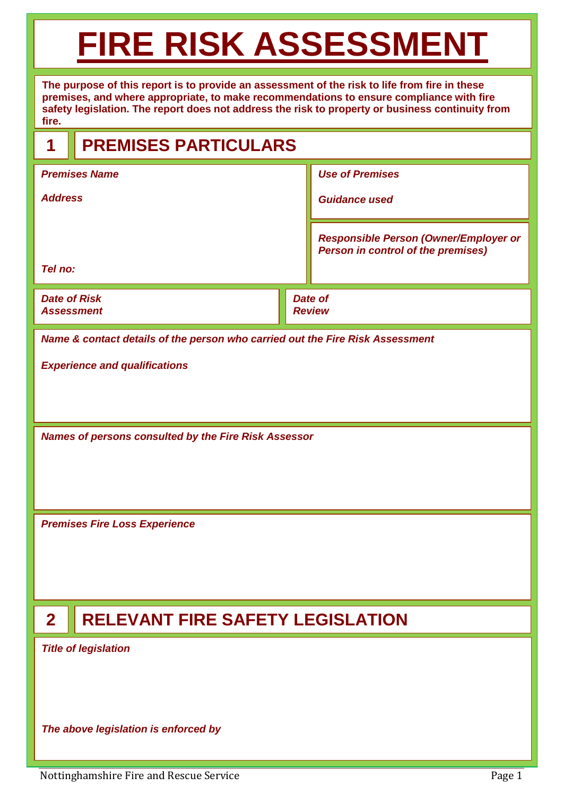# **FIRE RISK ASSESSMENT**

**The purpose of this report is to provide an assessment of the risk to life from fire in these premises, and where appropriate, to make recommendations to ensure compliance with fire safety legislation. The report does not address the risk to property or business continuity from fire.** 

## **1 PREMISES PARTICULARS**

| <b>Premises Name</b>                     |                                 | <b>Use of Premises</b>                                                                    |  |  |
|------------------------------------------|---------------------------------|-------------------------------------------------------------------------------------------|--|--|
| <b>Address</b>                           |                                 | <b>Guidance used</b>                                                                      |  |  |
|                                          |                                 | <b>Responsible Person (Owner/Employer or</b><br><b>Person in control of the premises)</b> |  |  |
| Tel no:                                  |                                 |                                                                                           |  |  |
| <b>Date of Risk</b><br><b>Assessment</b> | <b>Date of</b><br><b>Review</b> |                                                                                           |  |  |

*Name & contact details of the person who carried out the Fire Risk Assessment*

*Experience and qualifications*

*Names of persons consulted by the Fire Risk Assessor*

*Premises Fire Loss Experience*

## **2 RELEVANT FIRE SAFETY LEGISLATION**

*Title of legislation*

*The above legislation is enforced by*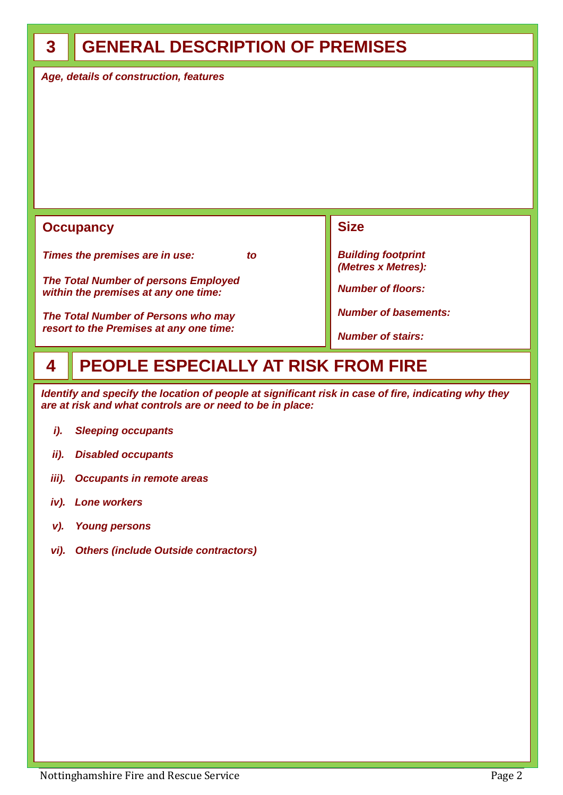### **GENERAL DESCRIPTION OF PREMISES**

*Age, details of construction, features*

#### **Occupancy**

*Times the premises are in use: to*

*The Total Number of persons Employed within the premises at any one time:*

*The Total Number of Persons who may resort to the Premises at any one time:*

**Size**

*Building footprint (Metres x Metres):*

*Number of floors:*

*Number of basements:*

*Number of stairs:*

#### **PEOPLE ESPECIALLY AT RISK FROM FIRE 4**

*Identify and specify the location of people at significant risk in case of fire, indicating why they are at risk and what controls are or need to be in place:*

- *i). Sleeping occupants*
- *ii). Disabled occupants*
- *iii). Occupants in remote areas*
- *iv). Lone workers*
- *v). Young persons*
- *vi). Others (include Outside contractors)*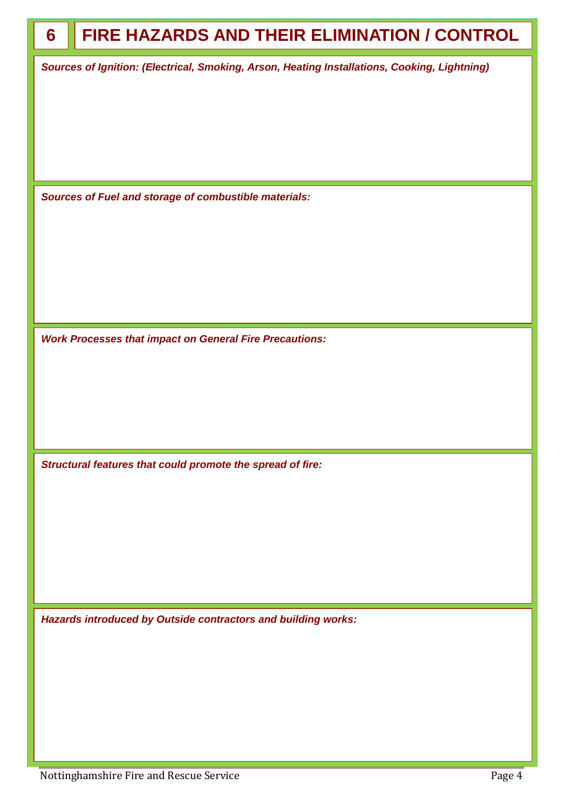| 6 | FIRE HAZARDS AND THEIR ELIMINATION / CONTROL                                                 |
|---|----------------------------------------------------------------------------------------------|
|   | Sources of Ignition: (Electrical, Smoking, Arson, Heating Installations, Cooking, Lightning) |
|   |                                                                                              |
|   |                                                                                              |
|   |                                                                                              |
|   | Sources of Fuel and storage of combustible materials:                                        |
|   |                                                                                              |
|   |                                                                                              |
|   |                                                                                              |
|   |                                                                                              |
|   | <b>Work Processes that impact on General Fire Precautions:</b>                               |
|   |                                                                                              |
|   |                                                                                              |
|   |                                                                                              |
|   |                                                                                              |
|   | Structural features that could promote the spread of fire:                                   |
|   |                                                                                              |
|   |                                                                                              |
|   |                                                                                              |
|   |                                                                                              |
|   | Hazards introduced by Outside contractors and building works:                                |
|   |                                                                                              |
|   |                                                                                              |
|   |                                                                                              |
|   |                                                                                              |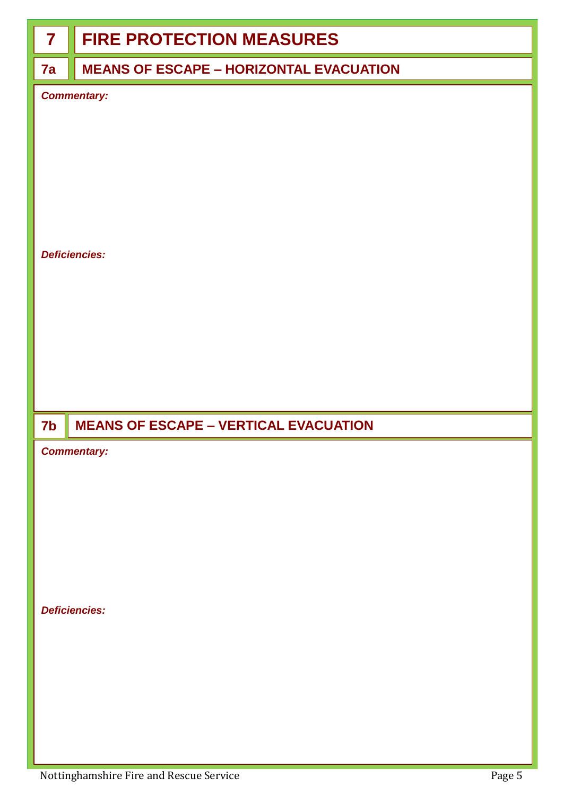## **7 FIRE PROTECTION MEASURES**

#### **7a**

#### **MEANS OF ESCAPE – HORIZONTAL EVACUATION**

*Commentary:*

#### *Deficiencies:*

#### **MEANS OF ESCAPE – VERTICAL EVACUATION 7b**

#### *Commentary:*

*Deficiencies:*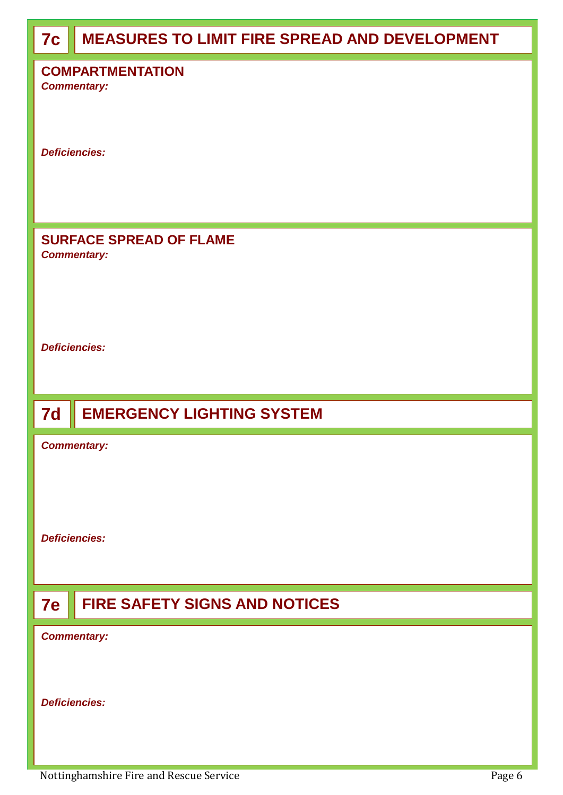| 7c                                            | <b>MEASURES TO LIMIT FIRE SPREAD AND DEVELOPMENT</b> |  |  |
|-----------------------------------------------|------------------------------------------------------|--|--|
| <b>COMPARTMENTATION</b><br><b>Commentary:</b> |                                                      |  |  |
| <b>Deficiencies:</b>                          |                                                      |  |  |
|                                               | <b>SURFACE SPREAD OF FLAME</b><br><b>Commentary:</b> |  |  |
| <b>Deficiencies:</b>                          |                                                      |  |  |
| 7d                                            | <b>EMERGENCY LIGHTING SYSTEM</b>                     |  |  |
|                                               | <b>Commentary:</b><br><b>Deficiencies:</b>           |  |  |
|                                               |                                                      |  |  |
| <b>7e</b>                                     | <b>FIRE SAFETY SIGNS AND NOTICES</b>                 |  |  |
|                                               | <b>Commentary:</b>                                   |  |  |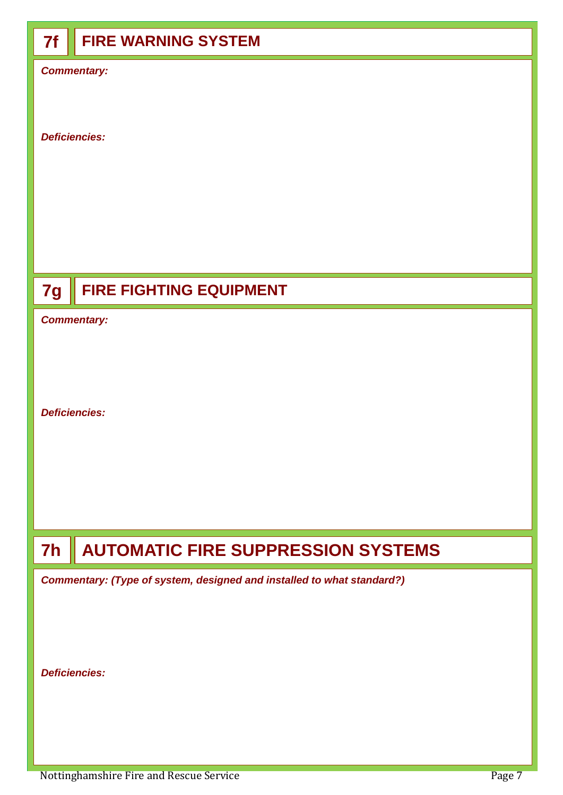# **7f FIRE WARNING SYSTEM** *Commentary: Deficiencies: Commentary: Deficiencies:* **7h AUTOMATIC FIRE SUPPRESSION SYSTEMS 7g FIRE FIGHTING EQUIPMENT**

*Commentary: (Type of system, designed and installed to what standard?)*

*Deficiencies:*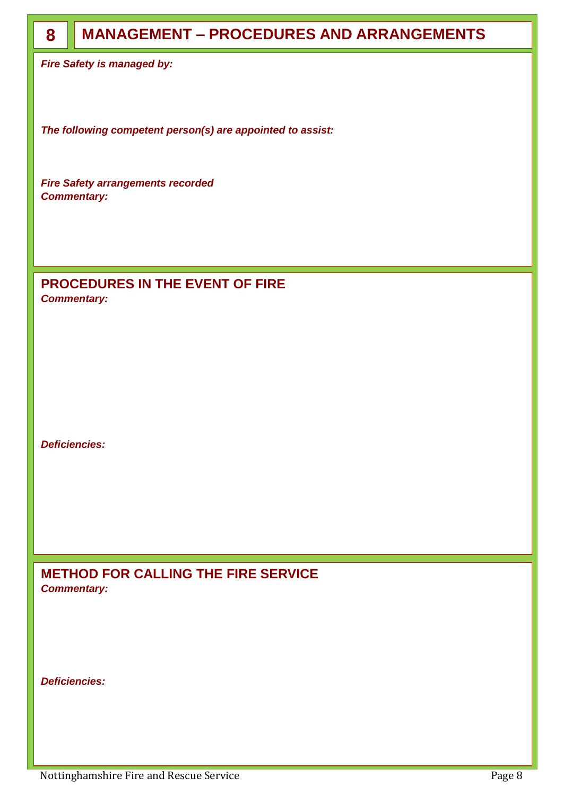| 8 | <b>MANAGEMENT - PROCEDURES AND ARRANGEMENTS</b>                |
|---|----------------------------------------------------------------|
|   | <b>Fire Safety is managed by:</b>                              |
|   |                                                                |
|   | The following competent person(s) are appointed to assist:     |
|   | <b>Fire Safety arrangements recorded</b><br><b>Commentary:</b> |
|   |                                                                |
|   |                                                                |
|   |                                                                |
|   | <b>PROCEDURES IN THE EVENT OF FIRE</b><br><b>Commentary:</b>   |
|   |                                                                |
|   |                                                                |

*Deficiencies:*

**METHOD FOR CALLING THE FIRE SERVICE** *Commentary:* 

*Deficiencies:*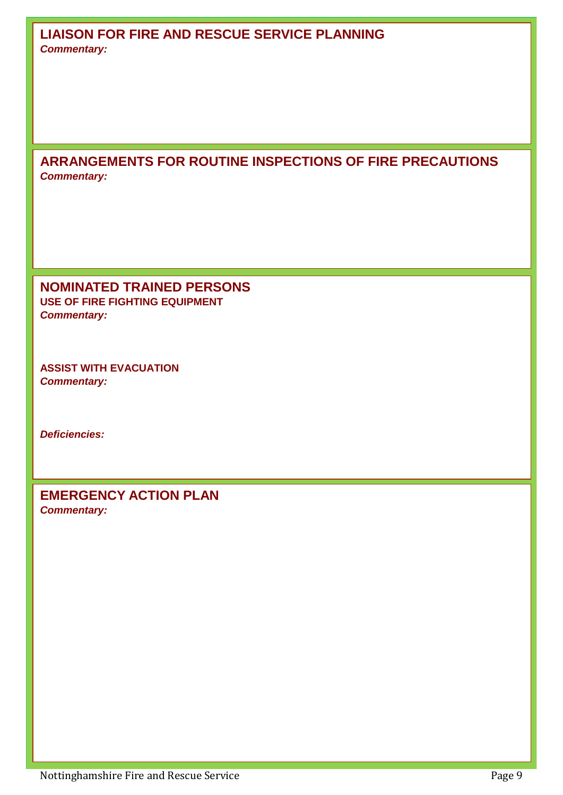**ARRANGEMENTS FOR ROUTINE INSPECTIONS OF FIRE PRECAUTIONS** *Commentary:*

**NOMINATED TRAINED PERSONS USE OF FIRE FIGHTING EQUIPMENT** *Commentary:* 

**ASSIST WITH EVACUATION** *Commentary:* 

*Deficiencies:*

**EMERGENCY ACTION PLAN** *Commentary:*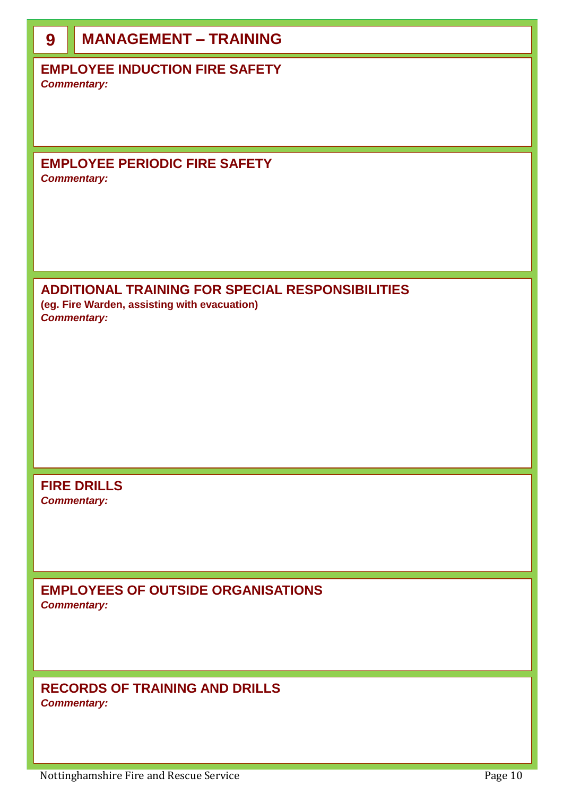| 9 | <b>MANAGEMENT - TRAINING</b>                                                                                                  |  |  |
|---|-------------------------------------------------------------------------------------------------------------------------------|--|--|
|   | <b>EMPLOYEE INDUCTION FIRE SAFETY</b><br><b>Commentary:</b>                                                                   |  |  |
|   | <b>EMPLOYEE PERIODIC FIRE SAFETY</b><br><b>Commentary:</b>                                                                    |  |  |
|   | <b>ADDITIONAL TRAINING FOR SPECIAL RESPONSIBILITIES</b><br>(eg. Fire Warden, assisting with evacuation)<br><b>Commentary:</b> |  |  |
|   | <b>FIRE DRILLS</b><br><b>Commentary:</b>                                                                                      |  |  |
|   | <b>EMPLOYEES OF OUTSIDE ORGANISATIONS</b><br><b>Commentary:</b>                                                               |  |  |
|   | <b>RECORDS OF TRAINING AND DRILLS</b><br><b>Commentary:</b>                                                                   |  |  |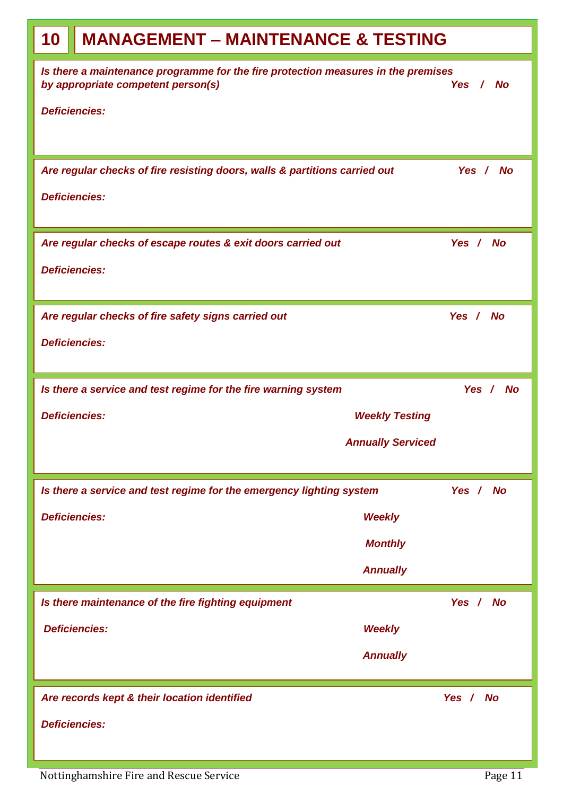| 10                                                                                                                                  | <b>MANAGEMENT - MAINTENANCE &amp; TESTING</b>                              |          |  |
|-------------------------------------------------------------------------------------------------------------------------------------|----------------------------------------------------------------------------|----------|--|
| Is there a maintenance programme for the fire protection measures in the premises<br>by appropriate competent person(s)<br>Yes / No |                                                                            |          |  |
|                                                                                                                                     | <b>Deficiencies:</b>                                                       |          |  |
|                                                                                                                                     |                                                                            |          |  |
|                                                                                                                                     | Are regular checks of fire resisting doors, walls & partitions carried out | Yes / No |  |
| <b>Deficiencies:</b>                                                                                                                |                                                                            |          |  |
|                                                                                                                                     | Are regular checks of escape routes & exit doors carried out               | Yes / No |  |
|                                                                                                                                     | <b>Deficiencies:</b>                                                       |          |  |
|                                                                                                                                     | Are regular checks of fire safety signs carried out<br>Yes / No            |          |  |
|                                                                                                                                     | <b>Deficiencies:</b>                                                       |          |  |
|                                                                                                                                     | Is there a service and test regime for the fire warning system             | Yes / No |  |
|                                                                                                                                     | <b>Deficiencies:</b><br><b>Weekly Testing</b>                              |          |  |
|                                                                                                                                     | <b>Annually Serviced</b>                                                   |          |  |
|                                                                                                                                     | Is there a service and test regime for the emergency lighting system       | Yes / No |  |
| <b>Deficiencies:</b>                                                                                                                | <b>Weekly</b>                                                              |          |  |
|                                                                                                                                     | <b>Monthly</b>                                                             |          |  |
|                                                                                                                                     | <b>Annually</b>                                                            |          |  |
|                                                                                                                                     | Is there maintenance of the fire fighting equipment                        | Yes / No |  |
|                                                                                                                                     | <b>Deficiencies:</b><br><b>Weekly</b>                                      |          |  |
|                                                                                                                                     | <b>Annually</b>                                                            |          |  |
|                                                                                                                                     | Are records kept & their location identified                               | Yes / No |  |
|                                                                                                                                     | <b>Deficiencies:</b>                                                       |          |  |
|                                                                                                                                     |                                                                            |          |  |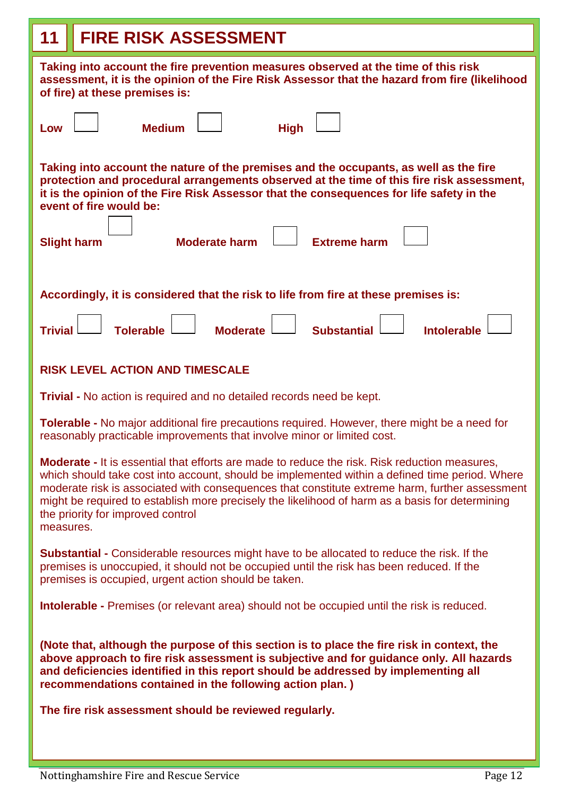| <b>FIRE RISK ASSESSMENT</b><br>11                                                                                                                                                                                                                                                                                                                                                                                                                      |  |  |  |  |
|--------------------------------------------------------------------------------------------------------------------------------------------------------------------------------------------------------------------------------------------------------------------------------------------------------------------------------------------------------------------------------------------------------------------------------------------------------|--|--|--|--|
| Taking into account the fire prevention measures observed at the time of this risk<br>assessment, it is the opinion of the Fire Risk Assessor that the hazard from fire (likelihood<br>of fire) at these premises is:                                                                                                                                                                                                                                  |  |  |  |  |
| <b>Medium</b><br><b>High</b><br>Low                                                                                                                                                                                                                                                                                                                                                                                                                    |  |  |  |  |
| Taking into account the nature of the premises and the occupants, as well as the fire<br>protection and procedural arrangements observed at the time of this fire risk assessment,<br>it is the opinion of the Fire Risk Assessor that the consequences for life safety in the<br>event of fire would be:                                                                                                                                              |  |  |  |  |
| <b>Extreme harm</b><br><b>Moderate harm</b><br><b>Slight harm</b>                                                                                                                                                                                                                                                                                                                                                                                      |  |  |  |  |
| Accordingly, it is considered that the risk to life from fire at these premises is:                                                                                                                                                                                                                                                                                                                                                                    |  |  |  |  |
| <b>Tolerable</b><br><b>Moderate</b><br><b>Substantial</b><br><b>Intolerable</b><br><b>Trivial</b>                                                                                                                                                                                                                                                                                                                                                      |  |  |  |  |
| <b>RISK LEVEL ACTION AND TIMESCALE</b>                                                                                                                                                                                                                                                                                                                                                                                                                 |  |  |  |  |
| <b>Trivial - No action is required and no detailed records need be kept.</b>                                                                                                                                                                                                                                                                                                                                                                           |  |  |  |  |
| <b>Tolerable -</b> No major additional fire precautions required. However, there might be a need for<br>reasonably practicable improvements that involve minor or limited cost.                                                                                                                                                                                                                                                                        |  |  |  |  |
| Moderate - It is essential that efforts are made to reduce the risk. Risk reduction measures,<br>which should take cost into account, should be implemented within a defined time period. Where<br>moderate risk is associated with consequences that constitute extreme harm, further assessment<br>might be required to establish more precisely the likelihood of harm as a basis for determining<br>the priority for improved control<br>measures. |  |  |  |  |
| Substantial - Considerable resources might have to be allocated to reduce the risk. If the<br>premises is unoccupied, it should not be occupied until the risk has been reduced. If the<br>premises is occupied, urgent action should be taken.                                                                                                                                                                                                        |  |  |  |  |
| <b>Intolerable -</b> Premises (or relevant area) should not be occupied until the risk is reduced.                                                                                                                                                                                                                                                                                                                                                     |  |  |  |  |
| (Note that, although the purpose of this section is to place the fire risk in context, the<br>above approach to fire risk assessment is subjective and for guidance only. All hazards<br>and deficiencies identified in this report should be addressed by implementing all<br>recommendations contained in the following action plan.)                                                                                                                |  |  |  |  |
| The fire risk assessment should be reviewed regularly.                                                                                                                                                                                                                                                                                                                                                                                                 |  |  |  |  |
|                                                                                                                                                                                                                                                                                                                                                                                                                                                        |  |  |  |  |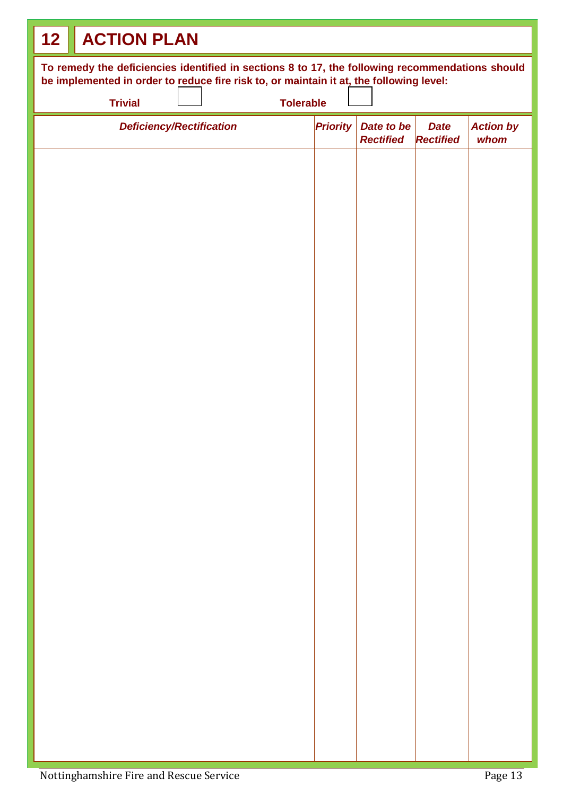| <b>ACTION PLAN</b><br>12                                                                                                                                                                   |  |  |  |  |  |
|--------------------------------------------------------------------------------------------------------------------------------------------------------------------------------------------|--|--|--|--|--|
| To remedy the deficiencies identified in sections 8 to 17, the following recommendations should<br>be implemented in order to reduce fire risk to, or maintain it at, the following level: |  |  |  |  |  |
| <b>Trivial</b><br><b>Tolerable</b>                                                                                                                                                         |  |  |  |  |  |
| <b>Priority</b><br>Date to be<br><b>Action by</b><br><b>Deficiency/Rectification</b><br><b>Date</b><br><b>Rectified</b><br><b>Rectified</b><br>whom                                        |  |  |  |  |  |
|                                                                                                                                                                                            |  |  |  |  |  |
|                                                                                                                                                                                            |  |  |  |  |  |
|                                                                                                                                                                                            |  |  |  |  |  |
|                                                                                                                                                                                            |  |  |  |  |  |
|                                                                                                                                                                                            |  |  |  |  |  |
|                                                                                                                                                                                            |  |  |  |  |  |
|                                                                                                                                                                                            |  |  |  |  |  |
|                                                                                                                                                                                            |  |  |  |  |  |
|                                                                                                                                                                                            |  |  |  |  |  |
|                                                                                                                                                                                            |  |  |  |  |  |
|                                                                                                                                                                                            |  |  |  |  |  |
|                                                                                                                                                                                            |  |  |  |  |  |
|                                                                                                                                                                                            |  |  |  |  |  |
|                                                                                                                                                                                            |  |  |  |  |  |
|                                                                                                                                                                                            |  |  |  |  |  |
|                                                                                                                                                                                            |  |  |  |  |  |
|                                                                                                                                                                                            |  |  |  |  |  |
|                                                                                                                                                                                            |  |  |  |  |  |
|                                                                                                                                                                                            |  |  |  |  |  |
|                                                                                                                                                                                            |  |  |  |  |  |